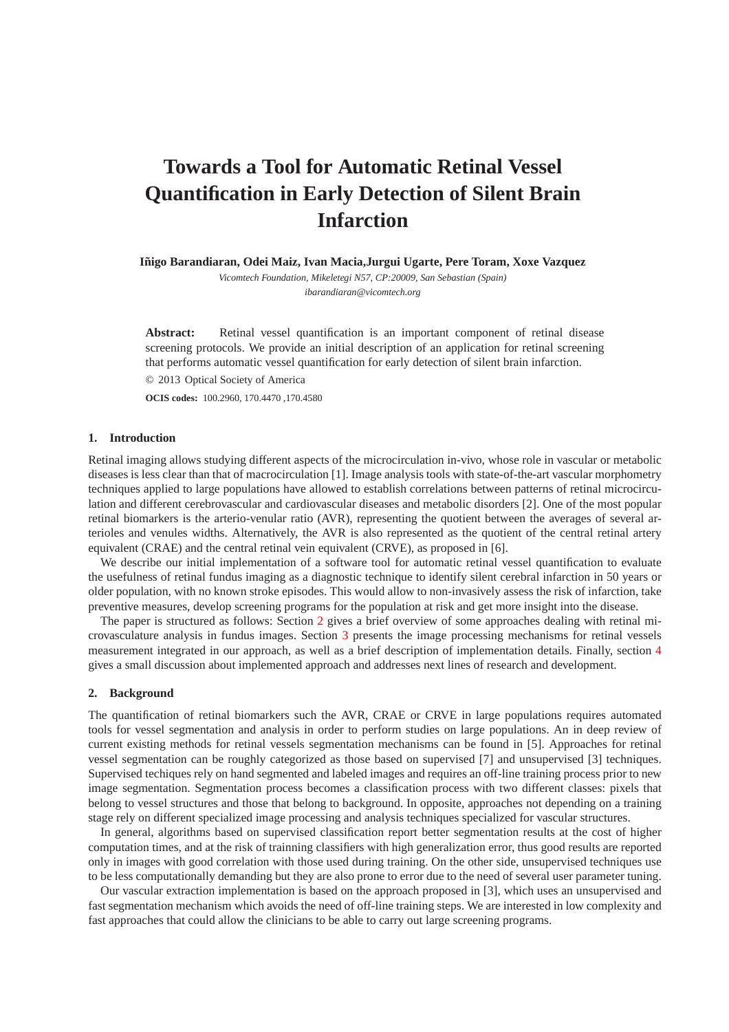# **Towards a Tool for Automatic Retinal Vessel Quantification in Early Detection of Silent Brain Infarction**

**Iñigo Barandiaran, Odei Maiz, Ivan Macia, Jurgui Ugarte, Pere Toram, Xoxe Vazquez** 

*Vicomtech Foundation, Mikeletegi N57, CP:20009, San Sebastian (Spain) ibarandiaran@vicomtech.org*

**Abstract:** Retinal vessel quantification is an important component of retinal disease screening protocols. We provide an initial description of an application for retinal screening that performs automatic vessel quantification for early detection of silent brain infarction. © 2013 Optical Society of America

**OCIS codes:** 100.2960, 170.4470 ,170.4580

## **1. Introduction**

Retinal imaging allows studying different aspects of the microcirculation in-vivo, whose role in vascular or metabolic diseases is less clear than that of macrocirculation [1]. Image analysis tools with state-of-the-art vascular morphometry techniques applied to large populations have allowed to establish correlations between patterns of retinal microcirculation and different cerebrovascular and cardiovascular diseases and metabolic disorders [2]. One of the most popular retinal biomarkers is the arterio-venular ratio (AVR), representing the quotient between the averages of several arterioles and venules widths. Alternatively, the AVR is also represented as the quotient of the central retinal artery equivalent (CRAE) and the central retinal vein equivalent (CRVE), as proposed in [6].

We describe our initial implementation of a software tool for automatic retinal vessel quantification to evaluate the usefulness of retinal fundus imaging as a diagnostic technique to identify silent cerebral infarction in 50 years or older population, with no known stroke episodes. This would allow to non-invasively assess the risk of infarction, take preventive measures, develop screening programs for the population at risk and get more insight into the disease.

The paper is structured as follows: Section [2](#page-0-0) gives a brief overview of some approaches dealing with retinal microvasculature analysis in fundus images. Section [3](#page-1-0) presents the image processing mechanisms for retinal vessels measurement integrated in our approach, as well as a brief description of implementation details. Finally, section [4](#page-1-1) gives a small discussion about implemented approach and addresses next lines of research and development.

#### <span id="page-0-0"></span>**2. Background**

The quantification of retinal biomarkers such the AVR, CRAE or CRVE in large populations requires automated tools for vessel segmentation and analysis in order to perform studies on large populations. An in deep review of current existing methods for retinal vessels segmentation mechanisms can be found in [5]. Approaches for retinal vessel segmentation can be roughly categorized as those based on supervised [7] and unsupervised [3] techniques. Supervised techiques rely on hand segmented and labeled images and requires an off-line training process prior to new image segmentation. Segmentation process becomes a classification process with two different classes: pixels that belong to vessel structures and those that belong to background. In opposite, approaches not depending on a training stage rely on different specialized image processing and analysis techniques specialized for vascular structures.

In general, algorithms based on supervised classification report better segmentation results at the cost of higher computation times, and at the risk of trainning classifiers with high generalization error, thus good results are reported only in images with good correlation with those used during training. On the other side, unsupervised techniques use to be less computationally demanding but they are also prone to error due to the need of several user parameter tuning.

Our vascular extraction implementation is based on the approach proposed in [3], which uses an unsupervised and fast segmentation mechanism which avoids the need of off-line training steps. We are interested in low complexity and fast approaches that could allow the clinicians to be able to carry out large screening programs.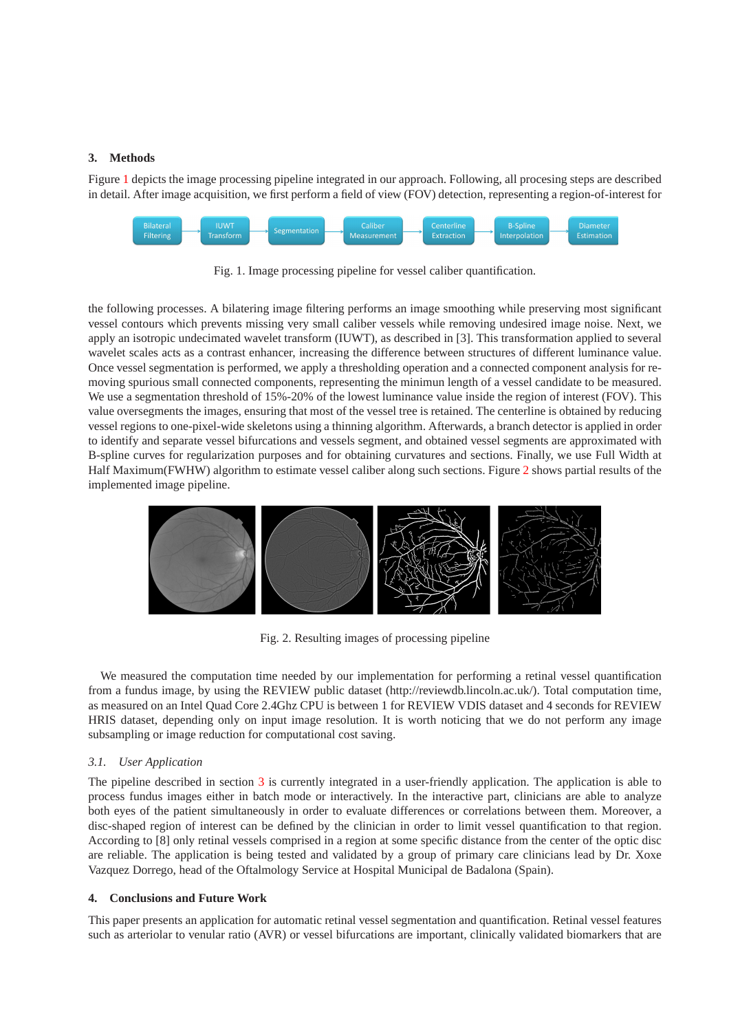#### <span id="page-1-0"></span>**3. Methods**

Figure [1](#page-1-2) depicts the image processing pipeline integrated in our approach. Following, all procesing steps are described in detail. After image acquisition, we first perform a field of view (FOV) detection, representing a region-of-interest for



<span id="page-1-2"></span>Fig. 1. Image processing pipeline for vessel caliber quantification.

the following processes. A bilatering image filtering performs an image smoothing while preserving most significant vessel contours which prevents missing very small caliber vessels while removing undesired image noise. Next, we apply an isotropic undecimated wavelet transform (IUWT), as described in [3]. This transformation applied to several wavelet scales acts as a contrast enhancer, increasing the difference between structures of different luminance value. Once vessel segmentation is performed, we apply a thresholding operation and a connected component analysis for removing spurious small connected components, representing the minimun length of a vessel candidate to be measured. We use a segmentation threshold of 15%-20% of the lowest luminance value inside the region of interest (FOV). This value oversegments the images, ensuring that most of the vessel tree is retained. The centerline is obtained by reducing vessel regions to one-pixel-wide skeletons using a thinning algorithm. Afterwards, a branch detector is applied in order to identify and separate vessel bifurcations and vessels segment, and obtained vessel segments are approximated with B-spline curves for regularization purposes and for obtaining curvatures and sections. Finally, we use Full Width at Half Maximum(FWHW) algorithm to estimate vessel caliber along such sections. Figure [2](#page-1-3) shows partial results of the implemented image pipeline.



<span id="page-1-3"></span>Fig. 2. Resulting images of processing pipeline

We measured the computation time needed by our implementation for performing a retinal vessel quantification from a fundus image, by using the REVIEW public dataset (http://reviewdb.lincoln.ac.uk/). Total computation time, as measured on an Intel Quad Core 2.4Ghz CPU is between 1 for REVIEW VDIS dataset and 4 seconds for REVIEW HRIS dataset, depending only on input image resolution. It is worth noticing that we do not perform any image subsampling or image reduction for computational cost saving.

## *3.1. User Application*

The pipeline described in section [3](#page-1-0) is currently integrated in a user-friendly application. The application is able to process fundus images either in batch mode or interactively. In the interactive part, clinicians are able to analyze both eyes of the patient simultaneously in order to evaluate differences or correlations between them. Moreover, a disc-shaped region of interest can be defined by the clinician in order to limit vessel quantification to that region. According to [8] only retinal vessels comprised in a region at some specific distance from the center of the optic disc are reliable. The application is being tested and validated by a group of primary care clinicians lead by Dr. Xoxe Vazquez Dorrego, head of the Oftalmology Service at Hospital Municipal de Badalona (Spain).

#### <span id="page-1-1"></span>**4. Conclusions and Future Work**

This paper presents an application for automatic retinal vessel segmentation and quantification. Retinal vessel features such as arteriolar to venular ratio (AVR) or vessel bifurcations are important, clinically validated biomarkers that are